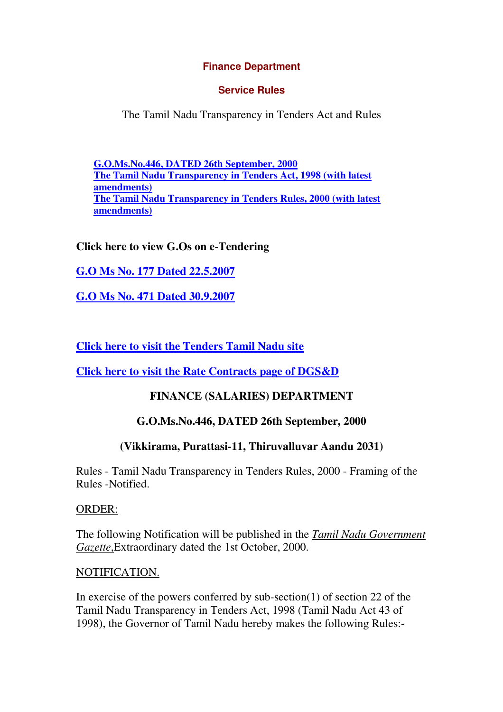### **Finance Department**

### **Service Rules**

The Tamil Nadu Transparency in Tenders Act and Rules

**G.O.Ms.No.446, DATED 26th September, 2000 The Tamil Nadu Transparency in Tenders Act, 1998 (with latest amendments) The Tamil Nadu Transparency in Tenders Rules, 2000 (with latest amendments)** 

# **Click here to view G.Os on e-Tendering**

**G.O Ms No. 177 Dated 22.5.2007**

**G.O Ms No. 471 Dated 30.9.2007**

**Click here to visit the Tenders Tamil Nadu site**

**Click here to visit the Rate Contracts page of DGS&D**

# **FINANCE (SALARIES) DEPARTMENT**

# **G.O.Ms.No.446, DATED 26th September, 2000**

# **(Vikkirama, Purattasi-11, Thiruvalluvar Aandu 2031)**

Rules - Tamil Nadu Transparency in Tenders Rules, 2000 - Framing of the Rules -Notified.

ORDER:

The following Notification will be published in the *Tamil Nadu Government Gazette*,Extraordinary dated the 1st October, 2000.

#### NOTIFICATION.

In exercise of the powers conferred by sub-section(1) of section 22 of the Tamil Nadu Transparency in Tenders Act, 1998 (Tamil Nadu Act 43 of 1998), the Governor of Tamil Nadu hereby makes the following Rules:-